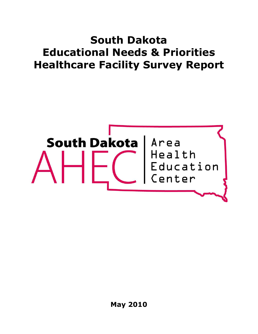# **South Dakota Educational Needs & Priorities Healthcare Facility Survey Report**

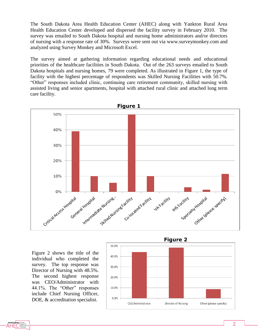The South Dakota Area Health Education Center (AHEC) along with Yankton Rural Area Health Education Center developed and dispersed the facility survey in February 2010. The survey was emailed to South Dakota hospital and nursing home administrators and/or directors of nursing with a response rate of 30%. Surveys were sent out via www.surveymonkey.com and analyzed using Survey Monkey and Microsoft Excel.

The survey aimed at gathering information regarding educational needs and educational priorities of the healthcare facilities in South Dakota. Out of the 263 surveys emailed to South Dakota hospitals and nursing homes, 79 were completed. As illustrated in Figure 1, the type of facility with the highest percentage of respondents was Skilled Nursing Facilities with 50.7%. "Other" responses included clinic, continuing care retirement community, skilled nursing with assisted living and senior apartments, hospital with attached rural clinic and attached long term care facility.



Figure 2 shows the title of the individual who completed the survey. The top response was Director of Nursing with 48.5%. The second highest response was CEO/Administrator with 44.1%. The "Other" responses include Chief Nursing Officer, DOE, & accreditation specialist.

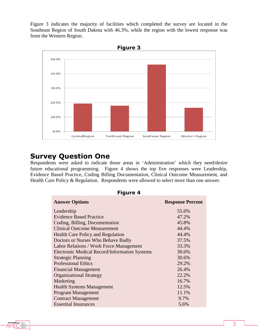Figure 3 indicates the majority of facilities which completed the survey are located in the Southeast Region of South Dakota with 46.3%, while the region with the lowest response was from the Western Region.



### **Survey Question One**

Respondents were asked to indicate those areas in "Administration" which they need/desire future educational programming. Figure 4 shows the top five responses were Leadership, Evidence Based Practice, Coding Billing Documentation, Clinical Outcome Measurement, and Health Care Policy & Regulation. Respondents were allowed to select more than one answer.

| <b>Figure 4</b>                                      |                         |  |
|------------------------------------------------------|-------------------------|--|
| <b>Answer Options</b>                                | <b>Response Percent</b> |  |
| Leadership                                           | 55.6%                   |  |
| <b>Evidence Based Practice</b>                       | 47.2%                   |  |
| Coding, Billing, Documentation                       | 45.8%                   |  |
| <b>Clinical Outcome Measurement</b>                  | 44.4%                   |  |
| <b>Health Care Policy and Regulation</b>             | 44.4%                   |  |
| Doctors or Nurses Who Behave Badly                   | 37.5%                   |  |
| Labor Relations / Work Force Management              | 33.3%                   |  |
| <b>Electronic Medical Record/Information Systems</b> | 30.6%                   |  |
| <b>Strategic Planning</b>                            | 30.6%                   |  |
| <b>Professional Ethics</b>                           | 29.2%                   |  |
| <b>Financial Management</b>                          | 26.4%                   |  |
| <b>Organizational Strategy</b>                       | 22.2%                   |  |
| Marketing                                            | 16.7%                   |  |
| <b>Health Systems Management</b>                     | 12.5%                   |  |
| <b>Program Management</b>                            | 11.1%                   |  |
| <b>Contract Management</b>                           | 9.7%                    |  |
| <b>Essential Insurances</b>                          | 5.6%                    |  |

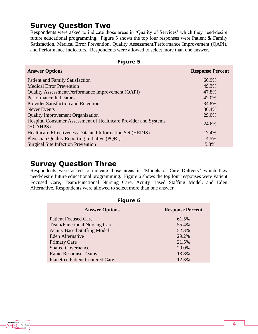# **Survey Question Two**

Respondents were asked to indicate those areas in 'Quality of Services' which they need/desire future educational programming. Figure 5 shows the top four responses were Patient & Family Satisfaction, Medical Error Prevention, Quality Assessment/Performance Improvement (QAPI), and Performance Indicators. Respondents were allowed to select more than one answer.

| <b>Figure 5</b>                                                             |                         |  |
|-----------------------------------------------------------------------------|-------------------------|--|
| <b>Answer Options</b>                                                       | <b>Response Percent</b> |  |
| <b>Patient and Family Satisfaction</b>                                      | 60.9%                   |  |
| <b>Medical Error Prevention</b>                                             | 49.3%                   |  |
| <b>Quality Assessment/Performance Improvement (QAPI)</b>                    | 47.8%                   |  |
| <b>Performance Indicators</b>                                               | 42.0%                   |  |
| <b>Provider Satisfaction and Retention</b>                                  | 34.8%                   |  |
| Never Events                                                                | 30.4%                   |  |
| <b>Quality Improvement Organization</b>                                     | 29.0%                   |  |
| Hospital Consumer Assessment of Healthcare Provider and Systems<br>(HCAHPS) | 24.6%                   |  |
| Healthcare Effectiveness Data and Information Set (HEDIS)                   | 17.4%                   |  |
| <b>Physician Quality Reporting Initiative (PQRI)</b>                        | 14.5%                   |  |
| <b>Surgical Site Infection Prevention</b>                                   | 5.8%                    |  |

## **Survey Question Three**

Respondents were asked to indicate those areas in "Models of Care Delivery" which they need/desire future educational programming. Figure 6 shows the top four responses were Patient Focused Care, Team/Functional Nursing Care, Acuity Based Staffing Model, and Eden Alternative. Respondents were allowed to select more than one answer.

| <b>Figure 6</b>         |  |  |
|-------------------------|--|--|
| <b>Response Percent</b> |  |  |
| 61.5%                   |  |  |
| 55.4%                   |  |  |
| 52.3%                   |  |  |
| 29.2%                   |  |  |
| 21.5%                   |  |  |
| 20.0%                   |  |  |
| 13.8%                   |  |  |
| 12.3%                   |  |  |
|                         |  |  |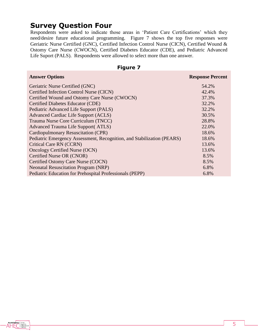# **Survey Question Four**

Respondents were asked to indicate those areas in "Patient Care Certifications" which they need/desire future educational programming. Figure 7 shows the top five responses were Geriatric Nurse Certified (GNC), Certified Infection Control Nurse (CICN), Certified Wound & Ostomy Care Nurse (CWOCN), Certified Diabetes Educator (CDE), and Pediatric Advanced Life Suport (PALS). Respondents were allowed to select more than one answer.

#### **Figure 7**

| <b>Answer Options</b>                                                  | <b>Response Percent</b> |
|------------------------------------------------------------------------|-------------------------|
| Geriatric Nurse Certified (GNC)                                        | 54.2%                   |
| Certified Infection Control Nurse (CICN)                               | 42.4%                   |
| Certified Wound and Ostomy Care Nurse (CWOCN)                          | 37.3%                   |
| Certified Diabetes Educator (CDE)                                      | 32.2%                   |
| Pediatric Advanced Life Support (PALS)                                 | 32.2%                   |
| <b>Advanced Cardiac Life Support (ACLS)</b>                            | 30.5%                   |
| Trauma Nurse Core Curriculum (TNCC)                                    | 28.8%                   |
| Advanced Trauma Life Support (ATLS)                                    | 22.0%                   |
| Cardiopulmonary Resuscitation (CPR)                                    | 18.6%                   |
| Pediatric Emergency Assessment, Recognition, and Stabilization (PEARS) | 18.6%                   |
| Critical Care RN (CCRN)                                                | 13.6%                   |
| <b>Oncology Certified Nurse (OCN)</b>                                  | 13.6%                   |
| Certified Nurse OR (CNOR)                                              | 8.5%                    |
| Certified Ostomy Care Nurse (COCN)                                     | 8.5%                    |
| <b>Neonatal Resuscitation Program (NRP)</b>                            | 6.8%                    |
| Pediatric Education for Prehospital Professionals (PEPP)               | 6.8%                    |

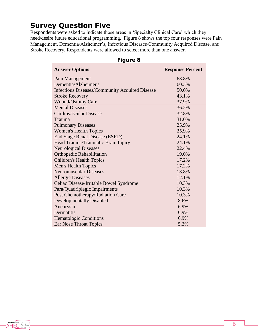# **Survey Question Five**

Respondents were asked to indicate those areas in "Specialty Clinical Care" which they need/desire future educational programming. Figure 8 shows the top four responses were Pain Management, Dementia/Alzheimer"s, Infectious Diseases/Community Acquired Disease, and Stroke Recovery. Respondents were allowed to select more than one answer.

| <b>Answer Options</b>                                 | <b>Response Percent</b> |
|-------------------------------------------------------|-------------------------|
| Pain Management                                       | 63.8%                   |
| Dementia/Alzheimer's                                  | 60.3%                   |
| <b>Infectious Diseases/Community Acquired Disease</b> | 50.0%                   |
| <b>Stroke Recovery</b>                                | 43.1%                   |
| <b>Wound/Ostomy Care</b>                              | 37.9%                   |
| <b>Mental Diseases</b>                                | 36.2%                   |
| <b>Cardiovascular Disease</b>                         | 32.8%                   |
| Trauma                                                | 31.0%                   |
| <b>Pulmonary Diseases</b>                             | 25.9%                   |
| <b>Women's Health Topics</b>                          | 25.9%                   |
| <b>End Stage Renal Disease (ESRD)</b>                 | 24.1%                   |
| Head Trauma/Traumatic Brain Injury                    | 24.1%                   |
| <b>Neurological Diseases</b>                          | 22.4%                   |
| <b>Orthopedic Rehabilitation</b>                      | 19.0%                   |
| <b>Children's Health Topics</b>                       | 17.2%                   |
| <b>Men's Health Topics</b>                            | 17.2%                   |
| <b>Neuromuscular Diseases</b>                         | 13.8%                   |
| <b>Allergic Diseases</b>                              | 12.1%                   |
| Celiac Disease/Irritable Bowel Syndrome               | 10.3%                   |
| Para/Quadriplegic Impairments                         | 10.3%                   |
| Post Chemotherapy/Radiation Care                      | 10.3%                   |
| <b>Developmentally Disabled</b>                       | 8.6%                    |
| Aneurysm                                              | 6.9%                    |
| Dermatitis                                            | 6.9%                    |
| <b>Hematologic Conditions</b>                         | 6.9%                    |
| Ear Nose Throat Topics                                | 5.2%                    |

#### **Figure 8**

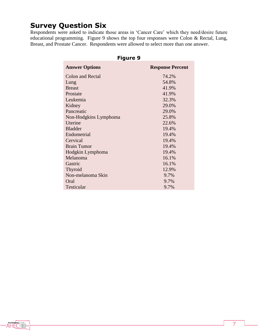# **Survey Question Six**

Respondents were asked to indicate those areas in 'Cancer Care' which they need/desire future educational programming. Figure 9 shows the top four responses were Colon & Rectal, Lung, Breast, and Prostate Cancer. Respondents were allowed to select more than one answer.

| Figure 9              |                         |  |
|-----------------------|-------------------------|--|
| <b>Answer Options</b> | <b>Response Percent</b> |  |
| Colon and Rectal      | 74.2%                   |  |
| Lung                  | 54.8%                   |  |
| <b>Breast</b>         | 41.9%                   |  |
| Prostate              | 41.9%                   |  |
| Leukemia              | 32.3%                   |  |
| Kidney                | 29.0%                   |  |
| Pancreatic            | 29.0%                   |  |
| Non-Hodgkins Lymphoma | 25.8%                   |  |
| Uterine               | 22.6%                   |  |
| <b>Bladder</b>        | 19.4%                   |  |
| Endometrial           | 19.4%                   |  |
| Cervical              | 19.4%                   |  |
| <b>Brain Tumor</b>    | 19.4%                   |  |
| Hodgkin Lymphoma      | 19.4%                   |  |
| Melanoma              | 16.1%                   |  |
| Gastric               | 16.1%                   |  |
| <b>Thyroid</b>        | 12.9%                   |  |
| Non-melanoma Skin     | 9.7%                    |  |
| Oral                  | 9.7%                    |  |
| Testicular            | 9.7%                    |  |

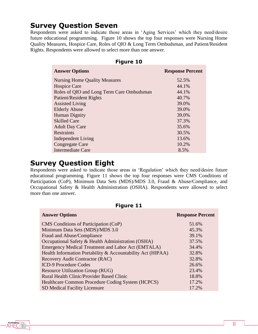# **Survey Question Seven**

Respondents were asked to indicate those areas in 'Aging Services' which they need/desire future educational programming. Figure 10 shows the top four responses were Nursing Home Quality Measures, Hospice Care, Roles of QIO & Long Term Ombudsman, and Patient/Resident Rights. Respondents were allowed to select more than one answer.

| <b>Figure 10</b>                          |                         |  |
|-------------------------------------------|-------------------------|--|
| <b>Answer Options</b>                     | <b>Response Percent</b> |  |
| <b>Nursing Home Quality Measures</b>      | 52.5%                   |  |
| <b>Hospice Care</b>                       | 44.1%                   |  |
| Roles of QIO and Long Term Care Ombudsman | 44.1%                   |  |
| <b>Patient/Resident Rights</b>            | 40.7%                   |  |
| <b>Assisted Living</b>                    | 39.0%                   |  |
| <b>Elderly Abuse</b>                      | 39.0%                   |  |
| <b>Human Dignity</b>                      | 39.0%                   |  |
| <b>Skilled Care</b>                       | 37.3%                   |  |
| <b>Adult Day Care</b>                     | 35.6%                   |  |
| <b>Restraints</b>                         | 30.5%                   |  |
| Independent Living                        | 13.6%                   |  |
| Congregate Care                           | 10.2%                   |  |
| <b>Intermediate Care</b>                  | 8.5%                    |  |

### **Survey Question Eight**

Respondents were asked to indicate those areas in "Regulation" which they need/desire future educational programming. Figure 11 shows the top four responses were CMS Conditions of Participation (CoP), Minimum Data Sets (MDS)/MDS 3.0, Fraud & Abuse/Compliance, and Occupational Safety & Health Administration (OSHA). Respondents were allowed to select more than one answer.

| <b>Figure 11</b>                                            |                         |  |
|-------------------------------------------------------------|-------------------------|--|
| <b>Answer Options</b>                                       | <b>Response Percent</b> |  |
| CMS Conditions of Participation (CoP)                       | 51.6%                   |  |
| Minimum Data Sets (MDS)/MDS 3.0                             | 45.3%                   |  |
| Fraud and Abuse/Compliance                                  | 39.1%                   |  |
| Occupational Safety & Health Administration (OSHA)          | 37.5%                   |  |
| Emergency Medical Treatment and Labor Act (EMTALA)          | 34.4%                   |  |
| Health Information Portability & Accountability Act (HIPAA) | 32.8%                   |  |
| Recovery Audit Contractor (RAC)                             | 32.8%                   |  |
| <b>ICD-9 Procedure Codes</b>                                | 26.6%                   |  |
| <b>Resource Utilization Group (RUG)</b>                     | 23.4%                   |  |
| <b>Rural Health Clinic/Provider Based Clinic</b>            | 18.8%                   |  |
| Healthcare Common Procedure Coding System (HCPCS)           | 17.2%                   |  |
| <b>SD Medical Facility Licensure</b>                        | 17.2%                   |  |

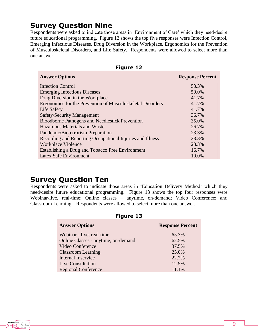# **Survey Question Nine**

Respondents were asked to indicate those areas in 'Environment of Care' which they need/desire future educational programming. Figure 12 shows the top five responses were Infection Control, Emerging Infectious Diseases, Drug Diversion in the Workplace, Ergonomics for the Prevention of Musculoskeletal Disorders, and Life Safety. Respondents were allowed to select more than one answer.

| 1 IYUI <del>ta</del>                                       |                         |
|------------------------------------------------------------|-------------------------|
| <b>Answer Options</b>                                      | <b>Response Percent</b> |
| <b>Infection Control</b>                                   | 53.3%                   |
| <b>Emerging Infectious Diseases</b>                        | 50.0%                   |
| Drug Diversion in the Workplace                            | 41.7%                   |
| Ergonomics for the Prevention of Musculoskeletal Disorders | 41.7%                   |
| Life Safety                                                | 41.7%                   |
| <b>Safety/Security Management</b>                          | 36.7%                   |
| <b>Bloodborne Pathogens and Needlestick Prevention</b>     | 35.0%                   |
| Hazardous Materials and Waste                              | 26.7%                   |
| Pandemic/Bioterrorism Preparation                          | 23.3%                   |
| Recording and Reporting Occupational Injuries and Illness  | 23.3%                   |
| <b>Workplace Violence</b>                                  | 23.3%                   |
| Establishing a Drug and Tobacco Free Environment           | 16.7%                   |
| Latex Safe Environment                                     | 10.0%                   |
|                                                            |                         |

#### **Figure 12**

### **Survey Question Ten**

Respondents were asked to indicate those areas in "Education Delivery Method" which they need/desire future educational programming. Figure 13 shows the top four responses were Webinar-live, real-time; Online classes – anytime, on-demand; Video Conference; and Classroom Learning. Respondents were allowed to select more than one answer.

| <b>Figure 13</b>                    |                         |  |
|-------------------------------------|-------------------------|--|
| <b>Answer Options</b>               | <b>Response Percent</b> |  |
| Webinar - live, real-time           | 65.3%                   |  |
| Online Classes - anytime, on-demand | 62.5%                   |  |
| Video Conference                    | 37.5%                   |  |
| <b>Classroom Learning</b>           | 25.0%                   |  |
| Internal Inservice                  | 22.2%                   |  |
| Live Consultation                   | 12.5%                   |  |
| <b>Regional Conference</b>          | 11.1%                   |  |